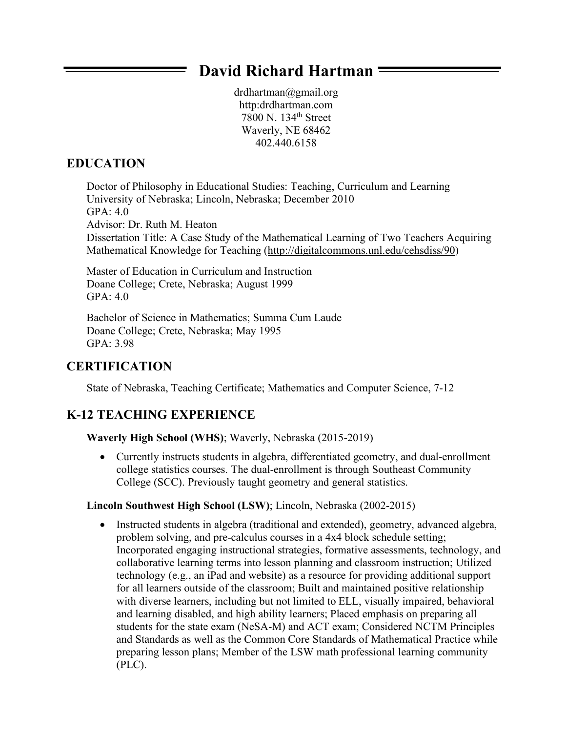# **David Richard Hartman**

drdhartman@gmail.org http:drdhartman.com 7800 N. 134th Street Waverly, NE 68462 402.440.6158

# **EDUCATION**

Doctor of Philosophy in Educational Studies: Teaching, Curriculum and Learning University of Nebraska; Lincoln, Nebraska; December 2010  $GPA: 4.0.$ Advisor: Dr. Ruth M. Heaton Dissertation Title: A Case Study of the Mathematical Learning of Two Teachers Acquiring Mathematical Knowledge for Teaching (http://digitalcommons.unl.edu/cehsdiss/90)

Master of Education in Curriculum and Instruction Doane College; Crete, Nebraska; August 1999 GPA: 4.0

Ξ

Bachelor of Science in Mathematics; Summa Cum Laude Doane College; Crete, Nebraska; May 1995 GPA: 3.98

# **CERTIFICATION**

State of Nebraska, Teaching Certificate; Mathematics and Computer Science, 7-12

# **K-12 TEACHING EXPERIENCE**

#### **Waverly High School (WHS)**; Waverly, Nebraska (2015-2019)

• Currently instructs students in algebra, differentiated geometry, and dual-enrollment college statistics courses. The dual-enrollment is through Southeast Community College (SCC). Previously taught geometry and general statistics.

#### **Lincoln Southwest High School (LSW)**; Lincoln, Nebraska (2002-2015)

• Instructed students in algebra (traditional and extended), geometry, advanced algebra, problem solving, and pre-calculus courses in a 4x4 block schedule setting; Incorporated engaging instructional strategies, formative assessments, technology, and collaborative learning terms into lesson planning and classroom instruction; Utilized technology (e.g., an iPad and website) as a resource for providing additional support for all learners outside of the classroom; Built and maintained positive relationship with diverse learners, including but not limited to ELL, visually impaired, behavioral and learning disabled, and high ability learners; Placed emphasis on preparing all students for the state exam (NeSA-M) and ACT exam; Considered NCTM Principles and Standards as well as the Common Core Standards of Mathematical Practice while preparing lesson plans; Member of the LSW math professional learning community (PLC).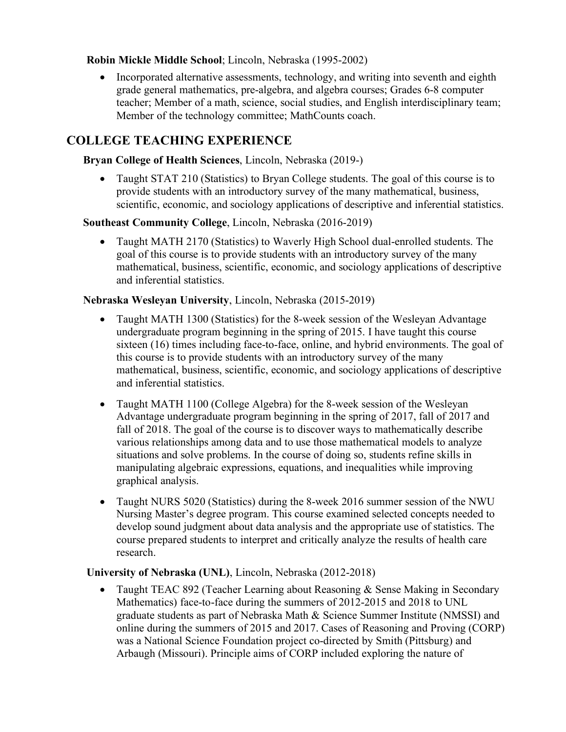#### **Robin Mickle Middle School**; Lincoln, Nebraska (1995-2002)

• Incorporated alternative assessments, technology, and writing into seventh and eighth grade general mathematics, pre-algebra, and algebra courses; Grades 6-8 computer teacher; Member of a math, science, social studies, and English interdisciplinary team; Member of the technology committee; MathCounts coach.

# **COLLEGE TEACHING EXPERIENCE**

### **Bryan College of Health Sciences**, Lincoln, Nebraska (2019-)

• Taught STAT 210 (Statistics) to Bryan College students. The goal of this course is to provide students with an introductory survey of the many mathematical, business, scientific, economic, and sociology applications of descriptive and inferential statistics.

### **Southeast Community College**, Lincoln, Nebraska (2016-2019)

• Taught MATH 2170 (Statistics) to Waverly High School dual-enrolled students. The goal of this course is to provide students with an introductory survey of the many mathematical, business, scientific, economic, and sociology applications of descriptive and inferential statistics.

### **Nebraska Wesleyan University**, Lincoln, Nebraska (2015-2019)

- Taught MATH 1300 (Statistics) for the 8-week session of the Wesleyan Advantage undergraduate program beginning in the spring of 2015. I have taught this course sixteen (16) times including face-to-face, online, and hybrid environments. The goal of this course is to provide students with an introductory survey of the many mathematical, business, scientific, economic, and sociology applications of descriptive and inferential statistics.
- Taught MATH 1100 (College Algebra) for the 8-week session of the Wesleyan Advantage undergraduate program beginning in the spring of 2017, fall of 2017 and fall of 2018. The goal of the course is to discover ways to mathematically describe various relationships among data and to use those mathematical models to analyze situations and solve problems. In the course of doing so, students refine skills in manipulating algebraic expressions, equations, and inequalities while improving graphical analysis.
- Taught NURS 5020 (Statistics) during the 8-week 2016 summer session of the NWU Nursing Master's degree program. This course examined selected concepts needed to develop sound judgment about data analysis and the appropriate use of statistics. The course prepared students to interpret and critically analyze the results of health care research.

#### **University of Nebraska (UNL)**, Lincoln, Nebraska (2012-2018)

• Taught TEAC 892 (Teacher Learning about Reasoning & Sense Making in Secondary Mathematics) face-to-face during the summers of 2012-2015 and 2018 to UNL graduate students as part of Nebraska Math & Science Summer Institute (NMSSI) and online during the summers of 2015 and 2017. Cases of Reasoning and Proving (CORP) was a National Science Foundation project co-directed by Smith (Pittsburg) and Arbaugh (Missouri). Principle aims of CORP included exploring the nature of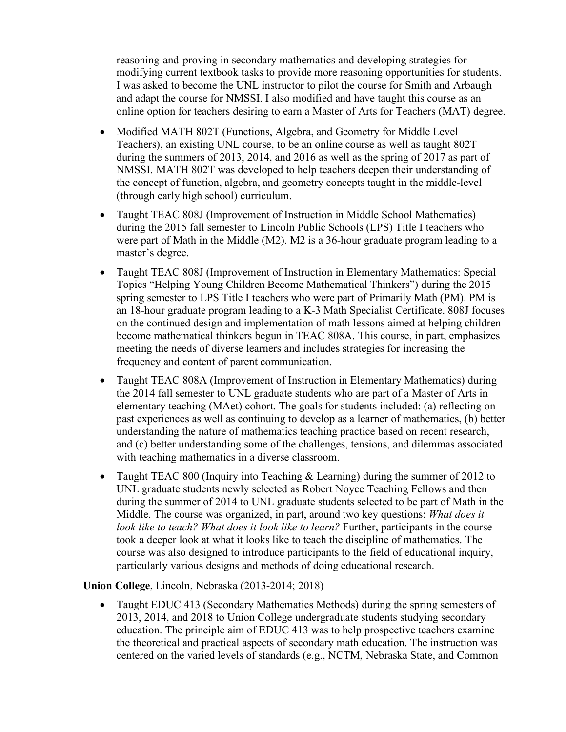reasoning-and-proving in secondary mathematics and developing strategies for modifying current textbook tasks to provide more reasoning opportunities for students. I was asked to become the UNL instructor to pilot the course for Smith and Arbaugh and adapt the course for NMSSI. I also modified and have taught this course as an online option for teachers desiring to earn a Master of Arts for Teachers (MAT) degree.

- Modified MATH 802T (Functions, Algebra, and Geometry for Middle Level Teachers), an existing UNL course, to be an online course as well as taught 802T during the summers of 2013, 2014, and 2016 as well as the spring of 2017 as part of NMSSI. MATH 802T was developed to help teachers deepen their understanding of the concept of function, algebra, and geometry concepts taught in the middle-level (through early high school) curriculum.
- Taught TEAC 808J (Improvement of Instruction in Middle School Mathematics) during the 2015 fall semester to Lincoln Public Schools (LPS) Title I teachers who were part of Math in the Middle (M2). M2 is a 36-hour graduate program leading to a master's degree.
- Taught TEAC 808J (Improvement of Instruction in Elementary Mathematics: Special Topics "Helping Young Children Become Mathematical Thinkers") during the 2015 spring semester to LPS Title I teachers who were part of Primarily Math (PM). PM is an 18-hour graduate program leading to a K-3 Math Specialist Certificate. 808J focuses on the continued design and implementation of math lessons aimed at helping children become mathematical thinkers begun in TEAC 808A. This course, in part, emphasizes meeting the needs of diverse learners and includes strategies for increasing the frequency and content of parent communication.
- Taught TEAC 808A (Improvement of Instruction in Elementary Mathematics) during the 2014 fall semester to UNL graduate students who are part of a Master of Arts in elementary teaching (MAet) cohort. The goals for students included: (a) reflecting on past experiences as well as continuing to develop as a learner of mathematics, (b) better understanding the nature of mathematics teaching practice based on recent research, and (c) better understanding some of the challenges, tensions, and dilemmas associated with teaching mathematics in a diverse classroom.
- Taught TEAC 800 (Inquiry into Teaching & Learning) during the summer of 2012 to UNL graduate students newly selected as Robert Noyce Teaching Fellows and then during the summer of 2014 to UNL graduate students selected to be part of Math in the Middle. The course was organized, in part, around two key questions: *What does it look like to teach? What does it look like to learn?* Further, participants in the course took a deeper look at what it looks like to teach the discipline of mathematics. The course was also designed to introduce participants to the field of educational inquiry, particularly various designs and methods of doing educational research.

**Union College**, Lincoln, Nebraska (2013-2014; 2018)

• Taught EDUC 413 (Secondary Mathematics Methods) during the spring semesters of 2013, 2014, and 2018 to Union College undergraduate students studying secondary education. The principle aim of EDUC 413 was to help prospective teachers examine the theoretical and practical aspects of secondary math education. The instruction was centered on the varied levels of standards (e.g., NCTM, Nebraska State, and Common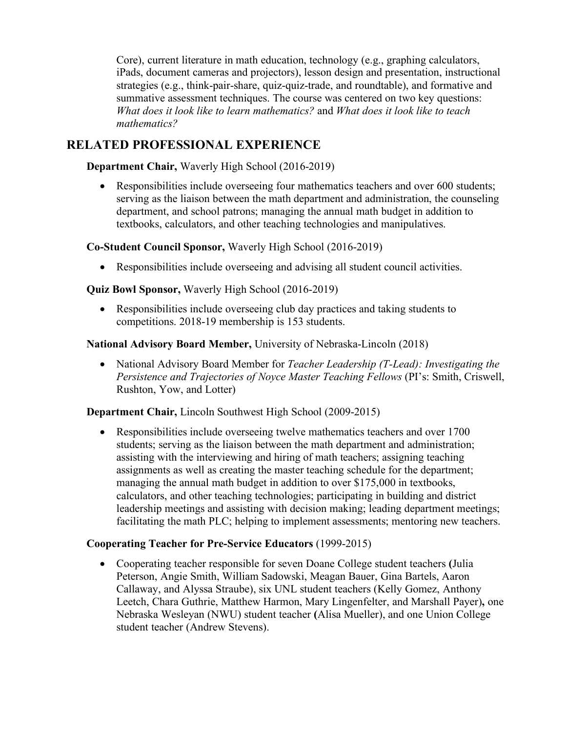Core), current literature in math education, technology (e.g., graphing calculators, iPads, document cameras and projectors), lesson design and presentation, instructional strategies (e.g., think-pair-share, quiz-quiz-trade, and roundtable), and formative and summative assessment techniques. The course was centered on two key questions: *What does it look like to learn mathematics?* and *What does it look like to teach mathematics?*

# **RELATED PROFESSIONAL EXPERIENCE**

**Department Chair,** Waverly High School (2016-2019)

• Responsibilities include overseeing four mathematics teachers and over 600 students; serving as the liaison between the math department and administration, the counseling department, and school patrons; managing the annual math budget in addition to textbooks, calculators, and other teaching technologies and manipulatives.

**Co-Student Council Sponsor,** Waverly High School (2016-2019)

• Responsibilities include overseeing and advising all student council activities.

**Quiz Bowl Sponsor,** Waverly High School (2016-2019)

• Responsibilities include overseeing club day practices and taking students to competitions. 2018-19 membership is 153 students.

**National Advisory Board Member,** University of Nebraska-Lincoln (2018)

• National Advisory Board Member for *Teacher Leadership (T-Lead): Investigating the Persistence and Trajectories of Noyce Master Teaching Fellows* (PI's: Smith, Criswell, Rushton, Yow, and Lotter)

**Department Chair,** Lincoln Southwest High School (2009-2015)

• Responsibilities include overseeing twelve mathematics teachers and over 1700 students; serving as the liaison between the math department and administration; assisting with the interviewing and hiring of math teachers; assigning teaching assignments as well as creating the master teaching schedule for the department; managing the annual math budget in addition to over \$175,000 in textbooks, calculators, and other teaching technologies; participating in building and district leadership meetings and assisting with decision making; leading department meetings; facilitating the math PLC; helping to implement assessments; mentoring new teachers.

#### **Cooperating Teacher for Pre-Service Educators** (1999-2015)

• Cooperating teacher responsible for seven Doane College student teachers **(**Julia Peterson, Angie Smith, William Sadowski, Meagan Bauer, Gina Bartels, Aaron Callaway, and Alyssa Straube), six UNL student teachers (Kelly Gomez, Anthony Leetch, Chara Guthrie, Matthew Harmon, Mary Lingenfelter, and Marshall Payer)**,** one Nebraska Wesleyan (NWU) student teacher **(**Alisa Mueller), and one Union College student teacher (Andrew Stevens).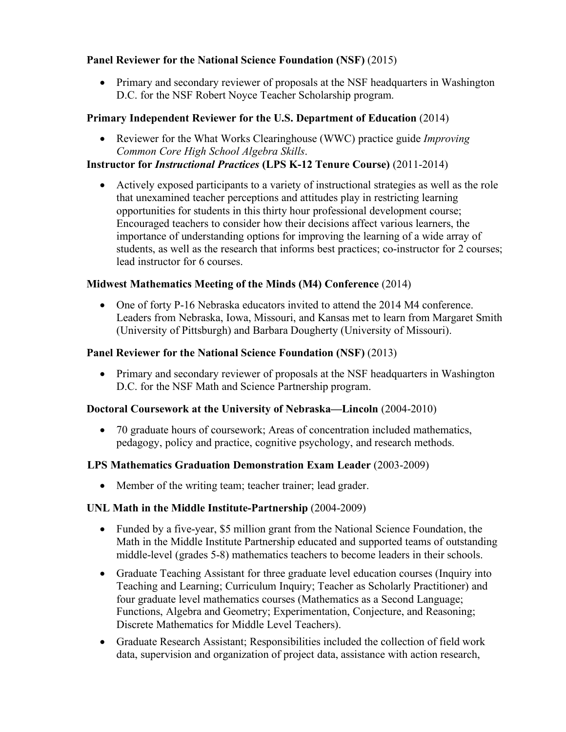### **Panel Reviewer for the National Science Foundation (NSF)** (2015)

• Primary and secondary reviewer of proposals at the NSF headquarters in Washington D.C. for the NSF Robert Noyce Teacher Scholarship program.

# **Primary Independent Reviewer for the U.S. Department of Education** (2014)

• Reviewer for the What Works Clearinghouse (WWC) practice guide *Improving Common Core High School Algebra Skills*.

### **Instructor for** *Instructional Practices* **(LPS K-12 Tenure Course)** (2011-2014)

• Actively exposed participants to a variety of instructional strategies as well as the role that unexamined teacher perceptions and attitudes play in restricting learning opportunities for students in this thirty hour professional development course; Encouraged teachers to consider how their decisions affect various learners, the importance of understanding options for improving the learning of a wide array of students, as well as the research that informs best practices; co-instructor for 2 courses; lead instructor for 6 courses.

### **Midwest Mathematics Meeting of the Minds (M4) Conference** (2014)

• One of forty P-16 Nebraska educators invited to attend the 2014 M4 conference. Leaders from Nebraska, Iowa, Missouri, and Kansas met to learn from Margaret Smith (University of Pittsburgh) and Barbara Dougherty (University of Missouri).

#### **Panel Reviewer for the National Science Foundation (NSF)** (2013)

• Primary and secondary reviewer of proposals at the NSF headquarters in Washington D.C. for the NSF Math and Science Partnership program.

#### **Doctoral Coursework at the University of Nebraska—Lincoln** (2004-2010)

• 70 graduate hours of coursework; Areas of concentration included mathematics, pedagogy, policy and practice, cognitive psychology, and research methods.

#### **LPS Mathematics Graduation Demonstration Exam Leader** (2003-2009)

• Member of the writing team; teacher trainer; lead grader.

#### **UNL Math in the Middle Institute-Partnership** (2004-2009)

- Funded by a five-year, \$5 million grant from the National Science Foundation, the Math in the Middle Institute Partnership educated and supported teams of outstanding middle-level (grades 5-8) mathematics teachers to become leaders in their schools.
- Graduate Teaching Assistant for three graduate level education courses (Inquiry into Teaching and Learning; Curriculum Inquiry; Teacher as Scholarly Practitioner) and four graduate level mathematics courses (Mathematics as a Second Language; Functions, Algebra and Geometry; Experimentation, Conjecture, and Reasoning; Discrete Mathematics for Middle Level Teachers).
- Graduate Research Assistant; Responsibilities included the collection of field work data, supervision and organization of project data, assistance with action research,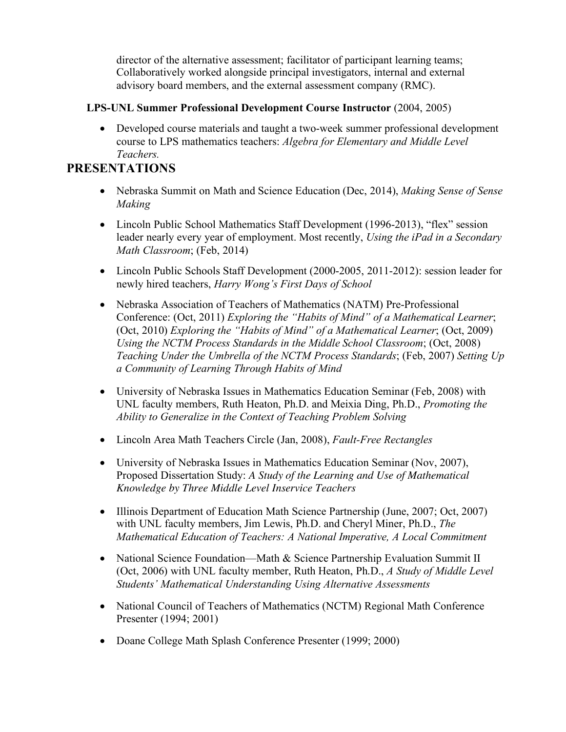director of the alternative assessment; facilitator of participant learning teams; Collaboratively worked alongside principal investigators, internal and external advisory board members, and the external assessment company (RMC).

### **LPS-UNL Summer Professional Development Course Instructor** (2004, 2005)

• Developed course materials and taught a two-week summer professional development course to LPS mathematics teachers: *Algebra for Elementary and Middle Level Teachers.*

# **PRESENTATIONS**

- Nebraska Summit on Math and Science Education (Dec, 2014), *Making Sense of Sense Making*
- Lincoln Public School Mathematics Staff Development (1996-2013), "flex" session leader nearly every year of employment. Most recently, *Using the iPad in a Secondary Math Classroom*; (Feb, 2014)
- Lincoln Public Schools Staff Development (2000-2005, 2011-2012): session leader for newly hired teachers, *Harry Wong's First Days of School*
- Nebraska Association of Teachers of Mathematics (NATM) Pre-Professional Conference: (Oct, 2011) *Exploring the "Habits of Mind" of a Mathematical Learner*; (Oct, 2010) *Exploring the "Habits of Mind" of a Mathematical Learner*; (Oct, 2009) *Using the NCTM Process Standards in the Middle School Classroom*; (Oct, 2008) *Teaching Under the Umbrella of the NCTM Process Standards*; (Feb, 2007) *Setting Up a Community of Learning Through Habits of Mind*
- University of Nebraska Issues in Mathematics Education Seminar (Feb, 2008) with UNL faculty members, Ruth Heaton, Ph.D. and Meixia Ding, Ph.D., *Promoting the Ability to Generalize in the Context of Teaching Problem Solving*
- Lincoln Area Math Teachers Circle (Jan, 2008), *Fault-Free Rectangles*
- University of Nebraska Issues in Mathematics Education Seminar (Nov, 2007), Proposed Dissertation Study: *A Study of the Learning and Use of Mathematical Knowledge by Three Middle Level Inservice Teachers*
- Illinois Department of Education Math Science Partnership (June, 2007; Oct, 2007) with UNL faculty members, Jim Lewis, Ph.D. and Cheryl Miner, Ph.D., *The Mathematical Education of Teachers: A National Imperative, A Local Commitment*
- National Science Foundation—Math & Science Partnership Evaluation Summit II (Oct, 2006) with UNL faculty member, Ruth Heaton, Ph.D., *A Study of Middle Level Students' Mathematical Understanding Using Alternative Assessments*
- National Council of Teachers of Mathematics (NCTM) Regional Math Conference Presenter (1994; 2001)
- Doane College Math Splash Conference Presenter (1999; 2000)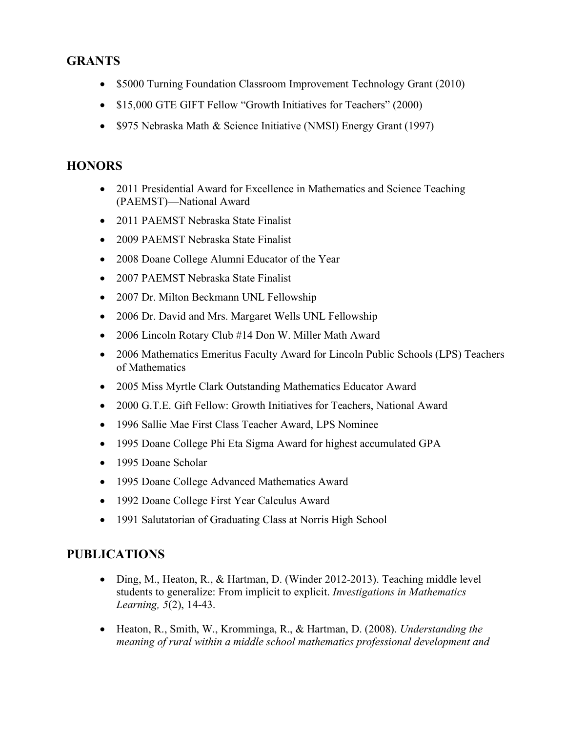# **GRANTS**

- \$5000 Turning Foundation Classroom Improvement Technology Grant (2010)
- \$15,000 GTE GIFT Fellow "Growth Initiatives for Teachers" (2000)
- \$975 Nebraska Math & Science Initiative (NMSI) Energy Grant (1997)

# **HONORS**

- 2011 Presidential Award for Excellence in Mathematics and Science Teaching (PAEMST)—National Award
- 2011 PAEMST Nebraska State Finalist
- 2009 PAEMST Nebraska State Finalist
- 2008 Doane College Alumni Educator of the Year
- 2007 PAEMST Nebraska State Finalist
- 2007 Dr. Milton Beckmann UNL Fellowship
- 2006 Dr. David and Mrs. Margaret Wells UNL Fellowship
- 2006 Lincoln Rotary Club #14 Don W. Miller Math Award
- 2006 Mathematics Emeritus Faculty Award for Lincoln Public Schools (LPS) Teachers of Mathematics
- 2005 Miss Myrtle Clark Outstanding Mathematics Educator Award
- 2000 G.T.E. Gift Fellow: Growth Initiatives for Teachers, National Award
- 1996 Sallie Mae First Class Teacher Award, LPS Nominee
- 1995 Doane College Phi Eta Sigma Award for highest accumulated GPA
- 1995 Doane Scholar
- 1995 Doane College Advanced Mathematics Award
- 1992 Doane College First Year Calculus Award
- 1991 Salutatorian of Graduating Class at Norris High School

# **PUBLICATIONS**

- Ding, M., Heaton, R., & Hartman, D. (Winder 2012-2013). Teaching middle level students to generalize: From implicit to explicit. *Investigations in Mathematics Learning, 5*(2), 14-43.
- Heaton, R., Smith, W., Kromminga, R., & Hartman, D. (2008). *Understanding the meaning of rural within a middle school mathematics professional development and*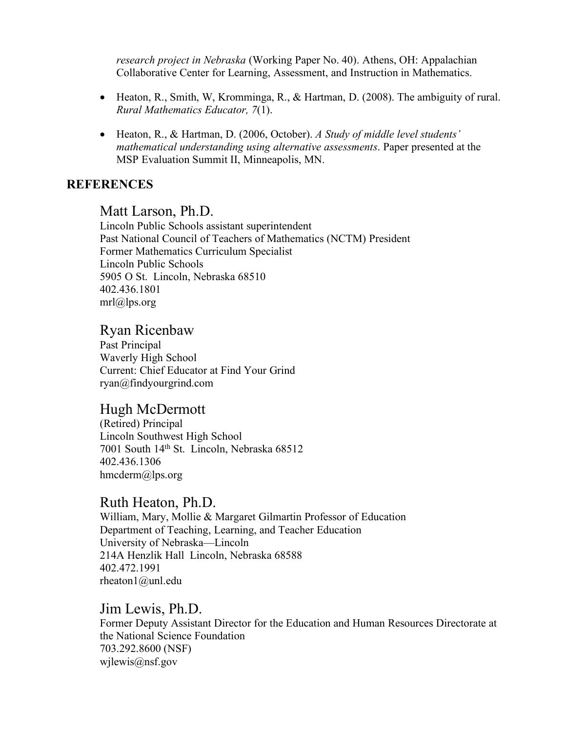*research project in Nebraska* (Working Paper No. 40). Athens, OH: Appalachian Collaborative Center for Learning, Assessment, and Instruction in Mathematics.

- Heaton, R., Smith, W, Kromminga, R., & Hartman, D. (2008). The ambiguity of rural. *Rural Mathematics Educator, 7*(1).
- Heaton, R., & Hartman, D. (2006, October). *A Study of middle level students' mathematical understanding using alternative assessments*. Paper presented at the MSP Evaluation Summit II, Minneapolis, MN.

# **REFERENCES**

### Matt Larson, Ph.D.

Lincoln Public Schools assistant superintendent Past National Council of Teachers of Mathematics (NCTM) President Former Mathematics Curriculum Specialist Lincoln Public Schools 5905 O St. Lincoln, Nebraska 68510 402.436.1801  $mrl@lps.org$ 

# Ryan Ricenbaw

Past Principal Waverly High School Current: Chief Educator at Find Your Grind ryan@findyourgrind.com

# Hugh McDermott

(Retired) Principal Lincoln Southwest High School 7001 South 14th St. Lincoln, Nebraska 68512 402.436.1306 hmcderm@lps.org

# Ruth Heaton, Ph.D.

William, Mary, Mollie & Margaret Gilmartin Professor of Education Department of Teaching, Learning, and Teacher Education University of Nebraska—Lincoln 214A Henzlik Hall Lincoln, Nebraska 68588 402.472.1991 rheaton1@unl.edu

### Jim Lewis, Ph.D.

Former Deputy Assistant Director for the Education and Human Resources Directorate at the National Science Foundation 703.292.8600 (NSF) wilewis@nsf.gov